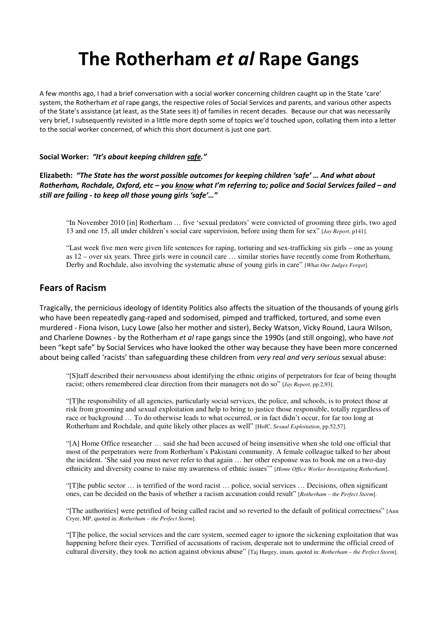# **The Rotherham** *et al* **Rape Gangs**

A few months ago, I had a brief conversation with a social worker concerning children caught up in the State 'care' system, the Rotherham *et al* rape gangs, the respective roles of Social Services and parents, and various other aspects of the State's assistance (at least, as the State sees it) of families in recent decades. Because our chat was necessarily very brief, I subsequently revisited in a little more depth some of topics we'd touched upon, collating them into a letter to the social worker concerned, of which this short document is just one part.

#### **Social Worker:** *"It's about keeping children safe."*

**Elizabeth:** *"The State has the worst possible outcomes for keeping children 'safe' … And what about Rotherham, Rochdale, Oxford, etc – you know what I'm referring to; police and Social Services failed – and still are failing - to keep all those young girls 'safe'…"* 

"In November 2010 [in] Rotherham … five 'sexual predators' were convicted of grooming three girls, two aged 13 and one 15, all under children's social care supervision, before using them for sex" [*Jay Report*, p141].

"Last week five men were given life sentences for raping, torturing and sex-trafficking six girls – one as young as 12 – over six years. Three girls were in council care … similar stories have recently come from Rotherham, Derby and Rochdale, also involving the systematic abuse of young girls in care" [*What Our Judges Forget*].

# **Fears of Racism**

Tragically, the pernicious ideology of Identity Politics also affects the situation of the thousands of young girls who have been repeatedly gang-raped and sodomised, pimped and trafficked, tortured, and some even murdered - Fiona Ivison, Lucy Lowe (also her mother and sister), Becky Watson, Vicky Round, Laura Wilson, and Charlene Downes - by the Rotherham *et al* rape gangs since the 1990s (and still ongoing), who have *not* been "kept safe" by Social Services who have looked the other way because they have been more concerned about being called 'racists' than safeguarding these children from *very real and very serious* sexual abuse:

"[S]taff described their nervousness about identifying the ethnic origins of perpetrators for fear of being thought racist; others remembered clear direction from their managers not do so" [*Jay Report*, pp.2,93].

"[T]he responsibility of all agencies, particularly social services, the police, and schools, is to protect those at risk from grooming and sexual exploitation and help to bring to justice those responsible, totally regardless of race or background … To do otherwise leads to what occurred, or in fact didn't occur, for far too long at Rotherham and Rochdale, and quite likely other places as well" [HofC, *Sexual Exploitation*, pp.52,57].

"[A] Home Office researcher … said she had been accused of being insensitive when she told one official that most of the perpetrators were from Rotherham's Pakistani community. A female colleague talked to her about the incident. 'She said you must never refer to that again … her other response was to book me on a two-day ethnicity and diversity course to raise my awareness of ethnic issues'" [*Home Office Worker Investigating Rotherham*].

"[T]he public sector … is terrified of the word racist … police, social services … Decisions, often significant ones, can be decided on the basis of whether a racism accusation could result" [*Rotherham – the Perfect Storm*].

"[The authorities] were petrified of being called racist and so reverted to the default of political correctness" [Ann Cryer, MP, quoted in: *Rotherham – the Perfect Storm*].

"[T]he police, the social services and the care system, seemed eager to ignore the sickening exploitation that was happening before their eyes. Terrified of accusations of racism, desperate not to undermine the official creed of cultural diversity, they took no action against obvious abuse" [Taj Hargey, imam, quoted in: *Rotherham – the Perfect Storm*].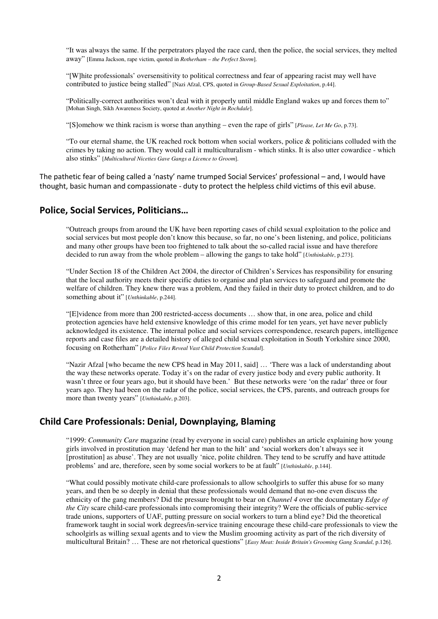"It was always the same. If the perpetrators played the race card, then the police, the social services, they melted away" [Emma Jackson, rape victim, quoted in *Rotherham – the Perfect Storm*].

"[W]hite professionals' oversensitivity to political correctness and fear of appearing racist may well have contributed to justice being stalled" [Nazi Afzal, CPS, quoted in *Group-Based Sexual Exploitation*, p.44].

"Politically-correct authorities won't deal with it properly until middle England wakes up and forces them to" [Mohan Singh, Sikh Awareness Society, quoted at *Another Night in Rochdale*].

"[S]omehow we think racism is worse than anything – even the rape of girls" [*Please, Let Me Go*, p.73].

"To our eternal shame, the UK reached rock bottom when social workers, police & politicians colluded with the crimes by taking no action. They would call it multiculturalism - which stinks. It is also utter cowardice - which also stinks" [*Multicultural Niceties Gave Gangs a Licence to Groom*].

The pathetic fear of being called a 'nasty' name trumped Social Services' professional – and, I would have thought, basic human and compassionate - duty to protect the helpless child victims of this evil abuse.

## **Police, Social Services, Politicians…**

"Outreach groups from around the UK have been reporting cases of child sexual exploitation to the police and social services but most people don't know this because, so far, no one's been listening, and police, politicians and many other groups have been too frightened to talk about the so-called racial issue and have therefore decided to run away from the whole problem – allowing the gangs to take hold" [*Unthinkable*, p.273].

"Under Section 18 of the Children Act 2004, the director of Children's Services has responsibility for ensuring that the local authority meets their specific duties to organise and plan services to safeguard and promote the welfare of children. They knew there was a problem, And they failed in their duty to protect children, and to do something about it" [*Unthinkable*, p.244].

"[E]vidence from more than 200 restricted-access documents … show that, in one area, police and child protection agencies have held extensive knowledge of this crime model for ten years, yet have never publicly acknowledged its existence. The internal police and social services correspondence, research papers, intelligence reports and case files are a detailed history of alleged child sexual exploitation in South Yorkshire since 2000, focusing on Rotherham" [*Police Files Reveal Vast Child Protection Scandal*].

"Nazir Afzal [who became the new CPS head in May 2011, said] … 'There was a lack of understanding about the way these networks operate. Today it's on the radar of every justice body and every public authority. It wasn't three or four years ago, but it should have been.' But these networks were 'on the radar' three or four years ago. They had been on the radar of the police, social services, the CPS, parents, and outreach groups for more than twenty years" [*Unthinkable*, p.203].

## **Child Care Professionals: Denial, Downplaying, Blaming**

"1999: *Community Care* magazine (read by everyone in social care) publishes an article explaining how young girls involved in prostitution may 'defend her man to the hilt' and 'social workers don't always see it [prostitution] as abuse'. They are not usually 'nice, polite children. They tend to be scruffy and have attitude problems' and are, therefore, seen by some social workers to be at fault" [*Unthinkable*, p.144].

"What could possibly motivate child-care professionals to allow schoolgirls to suffer this abuse for so many years, and then be so deeply in denial that these professionals would demand that no-one even discuss the ethnicity of the gang members? Did the pressure brought to bear on *Channel 4* over the documentary *Edge of the City* scare child-care professionals into compromising their integrity? Were the officials of public-service trade unions, supporters of UAF, putting pressure on social workers to turn a blind eye? Did the theoretical framework taught in social work degrees/in-service training encourage these child-care professionals to view the schoolgirls as willing sexual agents and to view the Muslim grooming activity as part of the rich diversity of multicultural Britain? … These are not rhetorical questions" [*Easy Meat: Inside Britain's Grooming Gang Scandal*, p.126].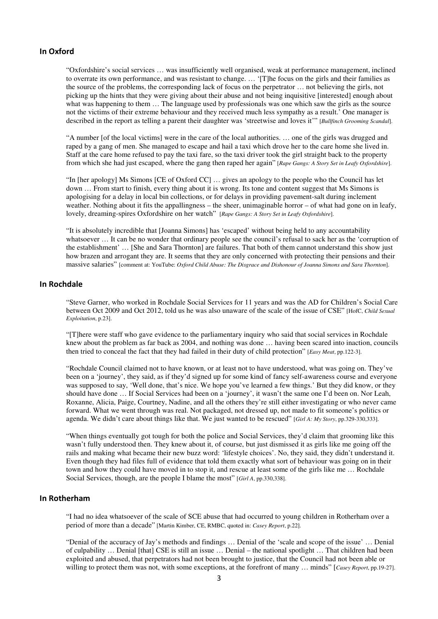#### **In Oxford**

"Oxfordshire's social services … was insufficiently well organised, weak at performance management, inclined to overrate its own performance, and was resistant to change. … '[T]he focus on the girls and their families as the source of the problems, the corresponding lack of focus on the perpetrator … not believing the girls, not picking up the hints that they were giving about their abuse and not being inquisitive [interested] enough about what was happening to them ... The language used by professionals was one which saw the girls as the source not the victims of their extreme behaviour and they received much less sympathy as a result.' One manager is described in the report as telling a parent their daughter was 'streetwise and loves it'" [*Bullfinch Grooming Scandal*].

"A number [of the local victims] were in the care of the local authorities. … one of the girls was drugged and raped by a gang of men. She managed to escape and hail a taxi which drove her to the care home she lived in. Staff at the care home refused to pay the taxi fare, so the taxi driver took the girl straight back to the property from which she had just escaped, where the gang then raped her again" [*Rape Gangs: A Story Set in Leafy Oxfordshire*].

"In [her apology] Ms Simons [CE of Oxford CC] … gives an apology to the people who the Council has let down … From start to finish, every thing about it is wrong. Its tone and content suggest that Ms Simons is apologising for a delay in local bin collections, or for delays in providing pavement-salt during inclement weather. Nothing about it fits the appallingness – the sheer, unimaginable horror – of what had gone on in leafy, lovely, dreaming-spires Oxfordshire on her watch" [*Rape Gangs: A Story Set in Leafy Oxfordshire*].

"It is absolutely incredible that [Joanna Simons] has 'escaped' without being held to any accountability whatsoever ... It can be no wonder that ordinary people see the council's refusal to sack her as the 'corruption of the establishment' … [She and Sara Thornton] are failures. That both of them cannot understand this show just how brazen and arrogant they are. It seems that they are only concerned with protecting their pensions and their massive salaries" [comment at: YouTube: *Oxford Child Abuse: The Disgrace and Dishonour of Joanna Simons and Sara Thornton*].

#### **In Rochdale**

"Steve Garner, who worked in Rochdale Social Services for 11 years and was the AD for Children's Social Care between Oct 2009 and Oct 2012, told us he was also unaware of the scale of the issue of CSE" [HofC, *Child Sexual Exploitation*, p.23].

"[T]here were staff who gave evidence to the parliamentary inquiry who said that social services in Rochdale knew about the problem as far back as 2004, and nothing was done … having been scared into inaction, councils then tried to conceal the fact that they had failed in their duty of child protection" [*Easy Meat*, pp.122-3].

"Rochdale Council claimed not to have known, or at least not to have understood, what was going on. They've been on a 'journey', they said, as if they'd signed up for some kind of fancy self-awareness course and everyone was supposed to say, 'Well done, that's nice. We hope you've learned a few things.' But they did know, or they should have done … If Social Services had been on a 'journey', it wasn't the same one I'd been on. Nor Leah, Roxanne, Alicia, Paige, Courtney, Nadine, and all the others they're still either investigating or who never came forward. What we went through was real. Not packaged, not dressed up, not made to fit someone's politics or agenda. We didn't care about things like that. We just wanted to be rescued" [*Girl A: My Story*, pp.329-330,333].

"When things eventually got tough for both the police and Social Services, they'd claim that grooming like this wasn't fully understood then. They knew about it, of course, but just dismissed it as girls like me going off the rails and making what became their new buzz word: 'lifestyle choices'. No, they said, they didn't understand it. Even though they had files full of evidence that told them exactly what sort of behaviour was going on in their town and how they could have moved in to stop it, and rescue at least some of the girls like me … Rochdale Social Services, though, are the people I blame the most" [*Girl A*, pp.330,338].

### **In Rotherham**

"I had no idea whatsoever of the scale of SCE abuse that had occurred to young children in Rotherham over a period of more than a decade" [Martin Kimber, CE, RMBC, quoted in: *Casey Report*, p.22].

"Denial of the accuracy of Jay's methods and findings … Denial of the 'scale and scope of the issue' … Denial of culpability … Denial [that] CSE is still an issue … Denial – the national spotlight … That children had been exploited and abused, that perpetrators had not been brought to justice, that the Council had not been able or willing to protect them was not, with some exceptions, at the forefront of many … minds" [*Casey Report*, pp.19-27].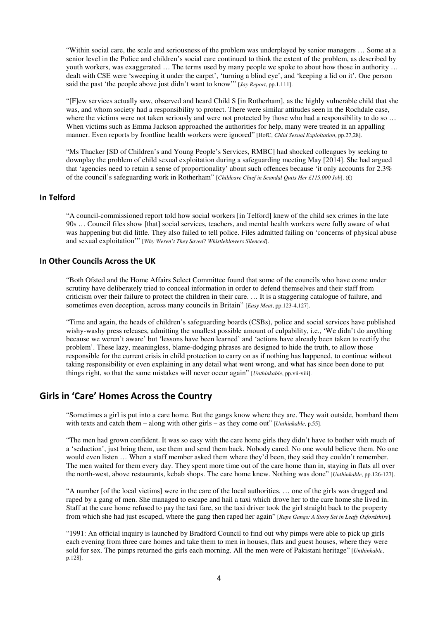"Within social care, the scale and seriousness of the problem was underplayed by senior managers … Some at a senior level in the Police and children's social care continued to think the extent of the problem, as described by youth workers, was exaggerated … The terms used by many people we spoke to about how those in authority … dealt with CSE were 'sweeping it under the carpet', 'turning a blind eye', and 'keeping a lid on it'. One person said the past 'the people above just didn't want to know'" [*Jay Report*, pp.1,111].

"[F]ew services actually saw, observed and heard Child S [in Rotherham], as the highly vulnerable child that she was, and whom society had a responsibility to protect. There were similar attitudes seen in the Rochdale case, where the victims were not taken seriously and were not protected by those who had a responsibility to do so ... When victims such as Emma Jackson approached the authorities for help, many were treated in an appalling manner. Even reports by frontline health workers were ignored" [HofC, *Child Sexual Exploitation*, pp.27,28].

"Ms Thacker [SD of Children's and Young People's Services, RMBC] had shocked colleagues by seeking to downplay the problem of child sexual exploitation during a safeguarding meeting May [2014]. She had argued that 'agencies need to retain a sense of proportionality' about such offences because 'it only accounts for 2.3% of the council's safeguarding work in Rotherham" [*Childcare Chief in Scandal Quits Her £115,000 Job*]. (£)

## **In Telford**

"A council-commissioned report told how social workers [in Telford] knew of the child sex crimes in the late 90s … Council files show [that] social services, teachers, and mental health workers were fully aware of what was happening but did little. They also failed to tell police. Files admitted failing on 'concerns of physical abuse and sexual exploitation'" [*Why Weren't They Saved? Whistleblowers Silenced*].

## **In Other Councils Across the UK**

"Both Ofsted and the Home Affairs Select Committee found that some of the councils who have come under scrutiny have deliberately tried to conceal information in order to defend themselves and their staff from criticism over their failure to protect the children in their care. … It is a staggering catalogue of failure, and sometimes even deception, across many councils in Britain" [*Easy Meat*, pp.123-4,127].

"Time and again, the heads of children's safeguarding boards (CSBs), police and social services have published wishy-washy press releases, admitting the smallest possible amount of culpability, i.e., 'We didn't do anything because we weren't aware' but 'lessons have been learned' and 'actions have already been taken to rectify the problem'. These lazy, meaningless, blame-dodging phrases are designed to hide the truth, to allow those responsible for the current crisis in child protection to carry on as if nothing has happened, to continue without taking responsibility or even explaining in any detail what went wrong, and what has since been done to put things right, so that the same mistakes will never occur again" [*Unthinkable*, pp.vii-viii].

## **Girls in 'Care' Homes Across the Country**

"Sometimes a girl is put into a care home. But the gangs know where they are. They wait outside, bombard them with texts and catch them – along with other girls – as they come out" [*Unthinkable*, p.55].

"The men had grown confident. It was so easy with the care home girls they didn't have to bother with much of a 'seduction', just bring them, use them and send them back. Nobody cared. No one would believe them. No one would even listen … When a staff member asked them where they'd been, they said they couldn't remember. The men waited for them every day. They spent more time out of the care home than in, staying in flats all over the north-west, above restaurants, kebab shops. The care home knew. Nothing was done" [*Unthinkable*, pp.126-127].

"A number [of the local victims] were in the care of the local authorities. … one of the girls was drugged and raped by a gang of men. She managed to escape and hail a taxi which drove her to the care home she lived in. Staff at the care home refused to pay the taxi fare, so the taxi driver took the girl straight back to the property from which she had just escaped, where the gang then raped her again" [*Rape Gangs: A Story Set in Leafy Oxfordshire*].

"1991: An official inquiry is launched by Bradford Council to find out why pimps were able to pick up girls each evening from three care homes and take them to men in houses, flats and guest houses, where they were sold for sex. The pimps returned the girls each morning. All the men were of Pakistani heritage" [*Unthinkable*, p.128].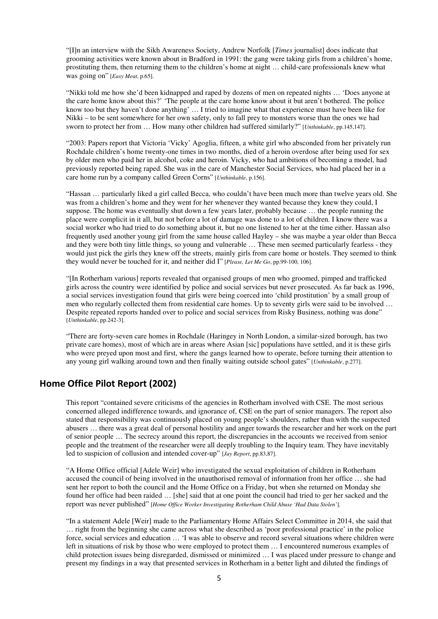"[I]n an interview with the Sikh Awareness Society, Andrew Norfolk [*Times* journalist] does indicate that grooming activities were known about in Bradford in 1991: the gang were taking girls from a children's home, prostituting them, then returning them to the children's home at night … child-care professionals knew what was going on" [*Easy Meat*, p.65].

"Nikki told me how she'd been kidnapped and raped by dozens of men on repeated nights … 'Does anyone at the care home know about this?' 'The people at the care home know about it but aren't bothered. The police know too but they haven't done anything' … I tried to imagine what that experience must have been like for Nikki – to be sent somewhere for her own safety, only to fall prey to monsters worse than the ones we had sworn to protect her from … How many other children had suffered similarly?" [*Unthinkable*, pp.145,147].

"2003: Papers report that Victoria 'Vicky' Agoglia, fifteen, a white girl who absconded from her privately run Rochdale children's home twenty-one times in two months, died of a heroin overdose after being used for sex by older men who paid her in alcohol, coke and heroin. Vicky, who had ambitions of becoming a model, had previously reported being raped. She was in the care of Manchester Social Services, who had placed her in a care home run by a company called Green Corns" [*Unthinkable*, p.156].

"Hassan … particularly liked a girl called Becca, who couldn't have been much more than twelve years old. She was from a children's home and they went for her whenever they wanted because they knew they could, I suppose. The home was eventually shut down a few years later, probably because … the people running the place were complicit in it all, but not before a lot of damage was done to a lot of children. I know there was a social worker who had tried to do something about it, but no one listened to her at the time either. Hassan also frequently used another young girl from the same house called Hayley – she was maybe a year older than Becca and they were both tiny little things, so young and vulnerable … These men seemed particularly fearless - they would just pick the girls they knew off the streets, mainly girls from care home or hostels. They seemed to think they would never be touched for it, and neither did I" [*Please, Let Me Go*, pp.99-100, 106].

"[In Rotherham various] reports revealed that organised groups of men who groomed, pimped and trafficked girls across the country were identified by police and social services but never prosecuted. As far back as 1996, a social services investigation found that girls were being coerced into 'child prostitution' by a small group of men who regularly collected them from residential care homes. Up to seventy girls were said to be involved … Despite repeated reports handed over to police and social services from Risky Business, nothing was done" [*Unthinkable*, pp.242-3].

"There are forty-seven care homes in Rochdale (Haringey in North London, a similar-sized borough, has two private care homes), most of which are in areas where Asian [sic] populations have settled, and it is these girls who were preyed upon most and first, where the gangs learned how to operate, before turning their attention to any young girl walking around town and then finally waiting outside school gates" [*Unthinkable*, p.277].

# **Home Office Pilot Report (2002)**

This report "contained severe criticisms of the agencies in Rotherham involved with CSE. The most serious concerned alleged indifference towards, and ignorance of, CSE on the part of senior managers. The report also stated that responsibility was continuously placed on young people's shoulders, rather than with the suspected abusers … there was a great deal of personal hostility and anger towards the researcher and her work on the part of senior people … The secrecy around this report, the discrepancies in the accounts we received from senior people and the treatment of the researcher were all deeply troubling to the Inquiry team. They have inevitably led to suspicion of collusion and intended cover-up" [*Jay Report*, pp.83,87].

"A Home Office official [Adele Weir] who investigated the sexual exploitation of children in Rotherham accused the council of being involved in the unauthorised removal of information from her office … she had sent her report to both the council and the Home Office on a Friday, but when she returned on Monday she found her office had been raided … [she] said that at one point the council had tried to ger her sacked and the report was never published" [*Home Office Worker Investigating Rotherham Child Abuse 'Had Data Stolen'*].

"In a statement Adele [Weir] made to the Parliamentary Home Affairs Select Committee in 2014, she said that … right from the beginning she came across what she described as 'poor professional practice' in the police force, social services and education … 'I was able to observe and record several situations where children were left in situations of risk by those who were employed to protect them … I encountered numerous examples of child protection issues being disregarded, dismissed or minimized … I was placed under pressure to change and present my findings in a way that presented services in Rotherham in a better light and diluted the findings of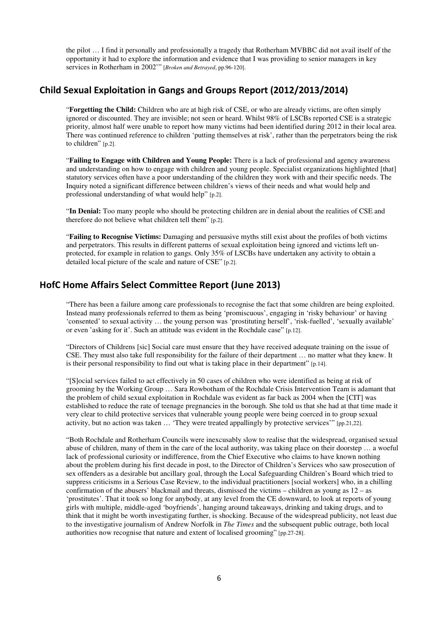the pilot … I find it personally and professionally a tragedy that Rotherham MVBBC did not avail itself of the opportunity it had to explore the information and evidence that I was providing to senior managers in key services in Rotherham in 2002'" [*Broken and Betrayed*, pp.96-120].

# **Child Sexual Exploitation in Gangs and Groups Report (2012/2013/2014)**

"**Forgetting the Child:** Children who are at high risk of CSE, or who are already victims, are often simply ignored or discounted. They are invisible; not seen or heard. Whilst 98% of LSCBs reported CSE is a strategic priority, almost half were unable to report how many victims had been identified during 2012 in their local area. There was continued reference to children 'putting themselves at risk', rather than the perpetrators being the risk to children" [p.2].

"**Failing to Engage with Children and Young People:** There is a lack of professional and agency awareness and understanding on how to engage with children and young people. Specialist organizations highlighted [that] statutory services often have a poor understanding of the children they work with and their specific needs. The Inquiry noted a significant difference between children's views of their needs and what would help and professional understanding of what would help" [p.2].

"**In Denial:** Too many people who should be protecting children are in denial about the realities of CSE and therefore do not believe what children tell them" [p.2].

"**Failing to Recognise Victims:** Damaging and persuasive myths still exist about the profiles of both victims and perpetrators. This results in different patterns of sexual exploitation being ignored and victims left unprotected, for example in relation to gangs. Only 35% of LSCBs have undertaken any activity to obtain a detailed local picture of the scale and nature of CSE" [p.2].

# **HofC Home Affairs Select Committee Report (June 2013)**

"There has been a failure among care professionals to recognise the fact that some children are being exploited. Instead many professionals referred to them as being 'promiscuous', engaging in 'risky behaviour' or having 'consented' to sexual activity … the young person was 'prostituting herself', 'risk-fuelled', 'sexually available' or even 'asking for it'. Such an attitude was evident in the Rochdale case" [p.12].

"Directors of Childrens [sic] Social care must ensure that they have received adequate training on the issue of CSE. They must also take full responsibility for the failure of their department … no matter what they knew. It is their personal responsibility to find out what is taking place in their department" [p.14].

"[S]ocial services failed to act effectively in 50 cases of children who were identified as being at risk of grooming by the Working Group … Sara Rowbotham of the Rochdale Crisis Intervention Team is adamant that the problem of child sexual exploitation in Rochdale was evident as far back as 2004 when the [CIT] was established to reduce the rate of teenage pregnancies in the borough. She told us that she had at that time made it very clear to child protective services that vulnerable young people were being coerced in to group sexual activity, but no action was taken … 'They were treated appallingly by protective services'" [pp.21,22].

"Both Rochdale and Rotherham Councils were inexcusably slow to realise that the widespread, organised sexual abuse of children, many of them in the care of the local authority, was taking place on their doorstep … a woeful lack of professional curiosity or indifference, from the Chief Executive who claims to have known nothing about the problem during his first decade in post, to the Director of Children's Services who saw prosecution of sex offenders as a desirable but ancillary goal, through the Local Safeguarding Children's Board which tried to suppress criticisms in a Serious Case Review, to the individual practitioners [social workers] who, in a chilling confirmation of the abusers' blackmail and threats, dismissed the victims – children as young as 12 – as 'prostitutes'. That it took so long for anybody, at any level from the CE downward, to look at reports of young girls with multiple, middle-aged 'boyfriends', hanging around takeaways, drinking and taking drugs, and to think that it might be worth investigating further, is shocking. Because of the widespread publicity, not least due to the investigative journalism of Andrew Norfolk in *The Times* and the subsequent public outrage, both local authorities now recognise that nature and extent of localised grooming" [pp.27-28].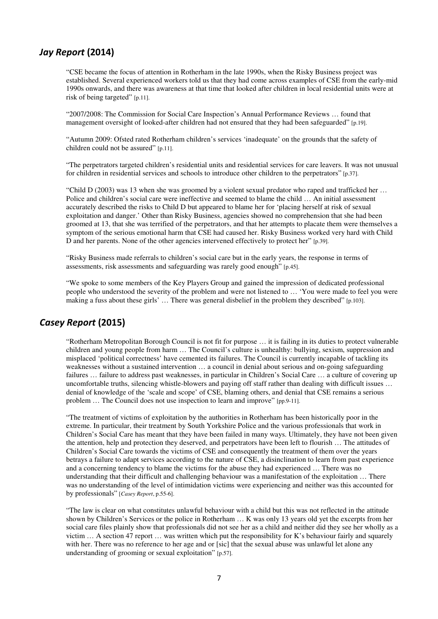# *Jay Report* **(2014)**

"CSE became the focus of attention in Rotherham in the late 1990s, when the Risky Business project was established. Several experienced workers told us that they had come across examples of CSE from the early-mid 1990s onwards, and there was awareness at that time that looked after children in local residential units were at risk of being targeted" [p.11].

"2007/2008: The Commission for Social Care Inspection's Annual Performance Reviews … found that management oversight of looked-after children had not ensured that they had been safeguarded" [p.19].

"Autumn 2009: Ofsted rated Rotherham children's services 'inadequate' on the grounds that the safety of children could not be assured" [p.11].

"The perpetrators targeted children's residential units and residential services for care leavers. It was not unusual for children in residential services and schools to introduce other children to the perpetrators" [p.37].

"Child D (2003) was 13 when she was groomed by a violent sexual predator who raped and trafficked her … Police and children's social care were ineffective and seemed to blame the child … An initial assessment accurately described the risks to Child D but appeared to blame her for 'placing herself at risk of sexual exploitation and danger.' Other than Risky Business, agencies showed no comprehension that she had been groomed at 13, that she was terrified of the perpetrators, and that her attempts to placate them were themselves a symptom of the serious emotional harm that CSE had caused her. Risky Business worked very hard with Child D and her parents. None of the other agencies intervened effectively to protect her" [p.39].

"Risky Business made referrals to children's social care but in the early years, the response in terms of assessments, risk assessments and safeguarding was rarely good enough" [p.45].

"We spoke to some members of the Key Players Group and gained the impression of dedicated professional people who understood the severity of the problem and were not listened to … 'You were made to feel you were making a fuss about these girls' ... There was general disbelief in the problem they described" [p.103].

# *Casey Report* **(2015)**

"Rotherham Metropolitan Borough Council is not fit for purpose … it is failing in its duties to protect vulnerable children and young people from harm … The Council's culture is unhealthy: bullying, sexism, suppression and misplaced 'political correctness' have cemented its failures. The Council is currently incapable of tackling its weaknesses without a sustained intervention … a council in denial about serious and on-going safeguarding failures ... failure to address past weaknesses, in particular in Children's Social Care ... a culture of covering up uncomfortable truths, silencing whistle-blowers and paying off staff rather than dealing with difficult issues … denial of knowledge of the 'scale and scope' of CSE, blaming others, and denial that CSE remains a serious problem … The Council does not use inspection to learn and improve" [pp.9-11].

"The treatment of victims of exploitation by the authorities in Rotherham has been historically poor in the extreme. In particular, their treatment by South Yorkshire Police and the various professionals that work in Children's Social Care has meant that they have been failed in many ways. Ultimately, they have not been given the attention, help and protection they deserved, and perpetrators have been left to flourish … The attitudes of Children's Social Care towards the victims of CSE and consequently the treatment of them over the years betrays a failure to adapt services according to the nature of CSE, a disinclination to learn from past experience and a concerning tendency to blame the victims for the abuse they had experienced … There was no understanding that their difficult and challenging behaviour was a manifestation of the exploitation … There was no understanding of the level of intimidation victims were experiencing and neither was this accounted for by professionals" [*Casey Report*, p.55-6].

"The law is clear on what constitutes unlawful behaviour with a child but this was not reflected in the attitude shown by Children's Services or the police in Rotherham … K was only 13 years old yet the excerpts from her social care files plainly show that professionals did not see her as a child and neither did they see her wholly as a victim … A section 47 report … was written which put the responsibility for K's behaviour fairly and squarely with her. There was no reference to her age and or [sic] that the sexual abuse was unlawful let alone any understanding of grooming or sexual exploitation" [p.57].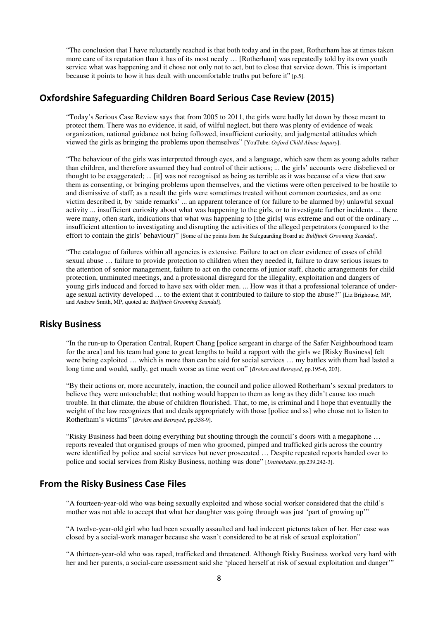"The conclusion that I have reluctantly reached is that both today and in the past, Rotherham has at times taken more care of its reputation than it has of its most needy … [Rotherham] was repeatedly told by its own youth service what was happening and it chose not only not to act, but to close that service down. This is important because it points to how it has dealt with uncomfortable truths put before it" [p.5].

## **Oxfordshire Safeguarding Children Board Serious Case Review (2015)**

"Today's Serious Case Review says that from 2005 to 2011, the girls were badly let down by those meant to protect them. There was no evidence, it said, of wilful neglect, but there was plenty of evidence of weak organization, national guidance not being followed, insufficient curiosity, and judgmental attitudes which viewed the girls as bringing the problems upon themselves" [YouTube: *Oxford Child Abuse Inquiry*].

"The behaviour of the girls was interpreted through eyes, and a language, which saw them as young adults rather than children, and therefore assumed they had control of their actions; ... the girls' accounts were disbelieved or thought to be exaggerated; ... [it] was not recognised as being as terrible as it was because of a view that saw them as consenting, or bringing problems upon themselves, and the victims were often perceived to be hostile to and dismissive of staff; as a result the girls were sometimes treated without common courtesies, and as one victim described it, by 'snide remarks' ... an apparent tolerance of (or failure to be alarmed by) unlawful sexual activity ... insufficient curiosity about what was happening to the girls, or to investigate further incidents ... there were many, often stark, indications that what was happening to [the girls] was extreme and out of the ordinary ... insufficient attention to investigating and disrupting the activities of the alleged perpetrators (compared to the effort to contain the girls' behaviour)" [Some of the points from the Safeguarding Board at: *Bullfinch Grooming Scandal*].

"The catalogue of failures within all agencies is extensive. Failure to act on clear evidence of cases of child sexual abuse … failure to provide protection to children when they needed it, failure to draw serious issues to the attention of senior management, failure to act on the concerns of junior staff, chaotic arrangements for child protection, unminuted meetings, and a professional disregard for the illegality, exploitation and dangers of young girls induced and forced to have sex with older men. ... How was it that a professional tolerance of underage sexual activity developed … to the extent that it contributed to failure to stop the abuse?" [Liz Brighouse, MP, and Andrew Smith, MP, quoted at: *Bullfinch Grooming Scandal*].

## **Risky Business**

"In the run-up to Operation Central, Rupert Chang [police sergeant in charge of the Safer Neighbourhood team for the area] and his team had gone to great lengths to build a rapport with the girls we [Risky Business] felt were being exploited … which is more than can be said for social services … my battles with them had lasted a long time and would, sadly, get much worse as time went on" [*Broken and Betrayed*, pp.195-6, 203].

"By their actions or, more accurately, inaction, the council and police allowed Rotherham's sexual predators to believe they were untouchable; that nothing would happen to them as long as they didn't cause too much trouble. In that climate, the abuse of children flourished. That, to me, is criminal and I hope that eventually the weight of the law recognizes that and deals appropriately with those [police and ss] who chose not to listen to Rotherham's victims" [*Broken and Betrayed*, pp.358-9].

"Risky Business had been doing everything but shouting through the council's doors with a megaphone … reports revealed that organised groups of men who groomed, pimped and trafficked girls across the country were identified by police and social services but never prosecuted … Despite repeated reports handed over to police and social services from Risky Business, nothing was done" [*Unthinkable*, pp.239,242-3].

## **From the Risky Business Case Files**

"A fourteen-year-old who was being sexually exploited and whose social worker considered that the child's mother was not able to accept that what her daughter was going through was just 'part of growing up'"

"A twelve-year-old girl who had been sexually assaulted and had indecent pictures taken of her. Her case was closed by a social-work manager because she wasn't considered to be at risk of sexual exploitation"

"A thirteen-year-old who was raped, trafficked and threatened. Although Risky Business worked very hard with her and her parents, a social-care assessment said she 'placed herself at risk of sexual exploitation and danger'"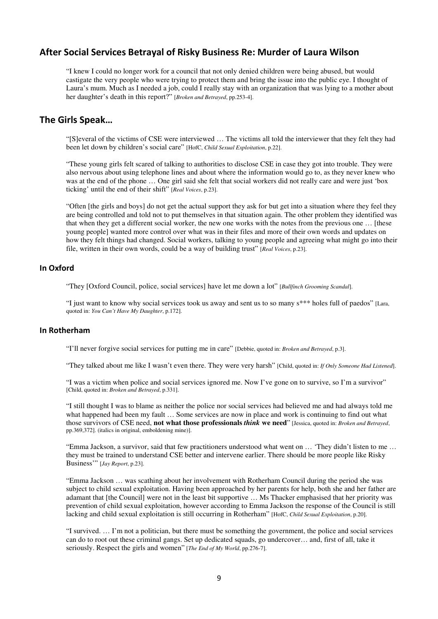# **After Social Services Betrayal of Risky Business Re: Murder of Laura Wilson**

"I knew I could no longer work for a council that not only denied children were being abused, but would castigate the very people who were trying to protect them and bring the issue into the public eye. I thought of Laura's mum. Much as I needed a job, could I really stay with an organization that was lying to a mother about her daughter's death in this report?" [*Broken and Betrayed*, pp.253-4].

## **The Girls Speak…**

"[S]everal of the victims of CSE were interviewed … The victims all told the interviewer that they felt they had been let down by children's social care" [HofC, *Child Sexual Exploitation*, p.22].

"These young girls felt scared of talking to authorities to disclose CSE in case they got into trouble. They were also nervous about using telephone lines and about where the information would go to, as they never knew who was at the end of the phone … One girl said she felt that social workers did not really care and were just 'box ticking' until the end of their shift" [*Real Voices*, p.23].

"Often [the girls and boys] do not get the actual support they ask for but get into a situation where they feel they are being controlled and told not to put themselves in that situation again. The other problem they identified was that when they get a different social worker, the new one works with the notes from the previous one … [these young people] wanted more control over what was in their files and more of their own words and updates on how they felt things had changed. Social workers, talking to young people and agreeing what might go into their file, written in their own words, could be a way of building trust" [*Real Voices*, p.23].

#### **In Oxford**

"They [Oxford Council, police, social services] have let me down a lot" [*Bullfinch Grooming Scandal*].

"I just want to know why social services took us away and sent us to so many s\*\*\* holes full of paedos" [Lara, quoted in: *You Can't Have My Daughter*, p.172].

#### **In Rotherham**

"I'll never forgive social services for putting me in care" [Debbie, quoted in: *Broken and Betrayed*, p.3].

"They talked about me like I wasn't even there. They were very harsh" [Child, quoted in: *If Only Someone Had Listened*].

"I was a victim when police and social services ignored me. Now I've gone on to survive, so I'm a survivor" [Child, quoted in: *Broken and Betrayed*, p.331].

"I still thought I was to blame as neither the police nor social services had believed me and had always told me what happened had been my fault … Some services are now in place and work is continuing to find out what those survivors of CSE need, **not what those professionals** *think* **we need**" [Jessica, quoted in: *Broken and Betrayed*, pp.369,372]. (italics in original, emboldening mine)].

"Emma Jackson, a survivor, said that few practitioners understood what went on … 'They didn't listen to me … they must be trained to understand CSE better and intervene earlier. There should be more people like Risky Business'" [*Jay Report*, p.23].

"Emma Jackson … was scathing about her involvement with Rotherham Council during the period she was subject to child sexual exploitation. Having been approached by her parents for help, both she and her father are adamant that [the Council] were not in the least bit supportive … Ms Thacker emphasised that her priority was prevention of child sexual exploitation, however according to Emma Jackson the response of the Council is still lacking and child sexual exploitation is still occurring in Rotherham" [HofC, *Child Sexual Exploitation*, p.20].

"I survived. … I'm not a politician, but there must be something the government, the police and social services can do to root out these criminal gangs. Set up dedicated squads, go undercover… and, first of all, take it seriously. Respect the girls and women" [*The End of My World*, pp.276-7].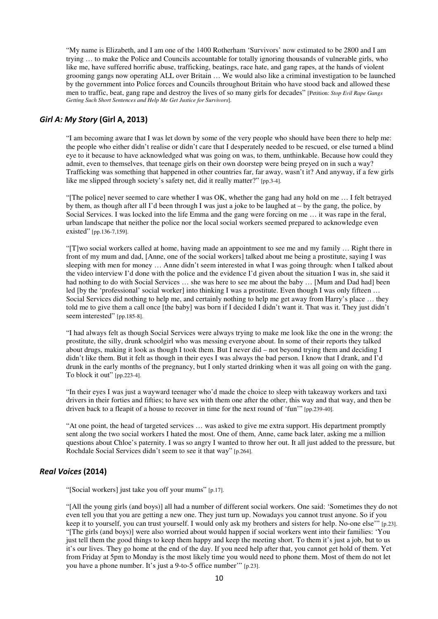"My name is Elizabeth, and I am one of the 1400 Rotherham 'Survivors' now estimated to be 2800 and I am trying … to make the Police and Councils accountable for totally ignoring thousands of vulnerable girls, who like me, have suffered horrific abuse, trafficking, beatings, race hate, and gang rapes, at the hands of violent grooming gangs now operating ALL over Britain … We would also like a criminal investigation to be launched by the government into Police forces and Councils throughout Britain who have stood back and allowed these men to traffic, beat, gang rape and destroy the lives of so many girls for decades" [Petition: *Stop Evil Rape Gangs Getting Such Short Sentences and Help Me Get Justice for Survivors*].

#### *Girl A: My Story* **(Girl A, 2013)**

"I am becoming aware that I was let down by some of the very people who should have been there to help me: the people who either didn't realise or didn't care that I desperately needed to be rescued, or else turned a blind eye to it because to have acknowledged what was going on was, to them, unthinkable. Because how could they admit, even to themselves, that teenage girls on their own doorstep were being preyed on in such a way? Trafficking was something that happened in other countries far, far away, wasn't it? And anyway, if a few girls like me slipped through society's safety net, did it really matter?" [pp.3-4].

"[The police] never seemed to care whether I was OK, whether the gang had any hold on me … I felt betrayed by them, as though after all I'd been through I was just a joke to be laughed at – by the gang, the police, by Social Services. I was locked into the life Emma and the gang were forcing on me … it was rape in the feral, urban landscape that neither the police nor the local social workers seemed prepared to acknowledge even existed" [pp.136-7,159].

"[T]wo social workers called at home, having made an appointment to see me and my family … Right there in front of my mum and dad, [Anne, one of the social workers] talked about me being a prostitute, saying I was sleeping with men for money … Anne didn't seem interested in what I was going through: when I talked about the video interview I'd done with the police and the evidence I'd given about the situation I was in, she said it had nothing to do with Social Services ... she was here to see me about the baby ... [Mum and Dad had] been led [by the 'professional' social worker] into thinking I was a prostitute. Even though I was only fifteen ... Social Services did nothing to help me, and certainly nothing to help me get away from Harry's place … they told me to give them a call once [the baby] was born if I decided I didn't want it. That was it. They just didn't seem interested" [pp.185-8].

"I had always felt as though Social Services were always trying to make me look like the one in the wrong: the prostitute, the silly, drunk schoolgirl who was messing everyone about. In some of their reports they talked about drugs, making it look as though I took them. But I never did – not beyond trying them and deciding I didn't like them. But it felt as though in their eyes I was always the bad person. I know that I drank, and I'd drunk in the early months of the pregnancy, but I only started drinking when it was all going on with the gang. To block it out" [pp.223-4].

"In their eyes I was just a wayward teenager who'd made the choice to sleep with takeaway workers and taxi drivers in their forties and fifties; to have sex with them one after the other, this way and that way, and then be driven back to a fleapit of a house to recover in time for the next round of 'fun'" [pp.239-40].

"At one point, the head of targeted services … was asked to give me extra support. His department promptly sent along the two social workers I hated the most. One of them, Anne, came back later, asking me a million questions about Chloe's paternity. I was so angry I wanted to throw her out. It all just added to the pressure, but Rochdale Social Services didn't seem to see it that way" [p.264].

#### *Real Voices* **(2014)**

"[Social workers] just take you off your mums" [p.17].

"[All the young girls (and boys)] all had a number of different social workers. One said: 'Sometimes they do not even tell you that you are getting a new one. They just turn up. Nowadays you cannot trust anyone. So if you keep it to yourself, you can trust yourself. I would only ask my brothers and sisters for help. No-one else'" [p.23]. "[The girls (and boys)] were also worried about would happen if social workers went into their families: 'You just tell them the good things to keep them happy and keep the meeting short. To them it's just a job, but to us it's our lives. They go home at the end of the day. If you need help after that, you cannot get hold of them. Yet from Friday at 5pm to Monday is the most likely time you would need to phone them. Most of them do not let you have a phone number. It's just a 9-to-5 office number'" [p.23].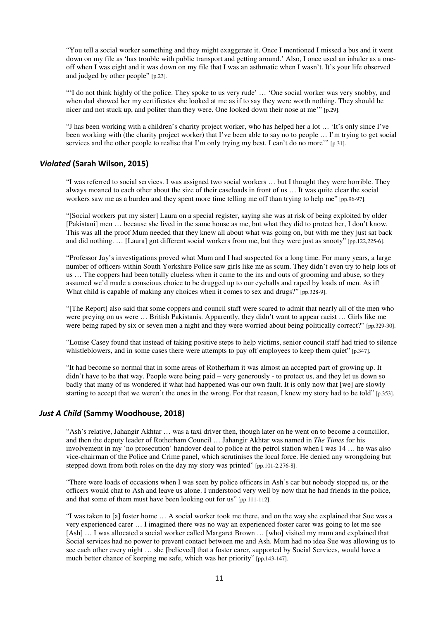"You tell a social worker something and they might exaggerate it. Once I mentioned I missed a bus and it went down on my file as 'has trouble with public transport and getting around.' Also, I once used an inhaler as a oneoff when I was eight and it was down on my file that I was an asthmatic when I wasn't. It's your life observed and judged by other people" [p.23]*.*

"'I do not think highly of the police. They spoke to us very rude' … 'One social worker was very snobby, and when dad showed her my certificates she looked at me as if to say they were worth nothing. They should be nicer and not stuck up, and politer than they were. One looked down their nose at me'" [p.29].

"J has been working with a children's charity project worker, who has helped her a lot … 'It's only since I've been working with (the charity project worker) that I've been able to say no to people … I'm trying to get social services and the other people to realise that I'm only trying my best. I can't do no more'" [p.31].

#### *Violated* **(Sarah Wilson, 2015)**

"I was referred to social services. I was assigned two social workers … but I thought they were horrible. They always moaned to each other about the size of their caseloads in front of us … It was quite clear the social workers saw me as a burden and they spent more time telling me off than trying to help me" [pp.96-97].

"[Social workers put my sister] Laura on a special register, saying she was at risk of being exploited by older [Pakistani] men … because she lived in the same house as me, but what they did to protect her, I don't know. This was all the proof Mum needed that they knew all about what was going on, but with me they just sat back and did nothing. … [Laura] got different social workers from me, but they were just as snooty" [pp.122,225-6].

"Professor Jay's investigations proved what Mum and I had suspected for a long time. For many years, a large number of officers within South Yorkshire Police saw girls like me as scum. They didn't even try to help lots of us … The coppers had been totally clueless when it came to the ins and outs of grooming and abuse, so they assumed we'd made a conscious choice to be drugged up to our eyeballs and raped by loads of men. As if! What child is capable of making any choices when it comes to sex and drugs?" [pp.328-9].

"[The Report] also said that some coppers and council staff were scared to admit that nearly all of the men who were preying on us were … British Pakistanis. Apparently, they didn't want to appear racist … Girls like me were being raped by six or seven men a night and they were worried about being politically correct?" [pp.329-30].

"Louise Casey found that instead of taking positive steps to help victims, senior council staff had tried to silence whistleblowers, and in some cases there were attempts to pay off employees to keep them quiet" [p.347].

"It had become so normal that in some areas of Rotherham it was almost an accepted part of growing up. It didn't have to be that way. People were being paid – very generously - to protect us, and they let us down so badly that many of us wondered if what had happened was our own fault. It is only now that [we] are slowly starting to accept that we weren't the ones in the wrong. For that reason, I knew my story had to be told" [p.353].

### *Just A Child* **(Sammy Woodhouse, 2018)**

"Ash's relative, Jahangir Akhtar … was a taxi driver then, though later on he went on to become a councillor, and then the deputy leader of Rotherham Council … Jahangir Akhtar was named in *The Times* for his involvement in my 'no prosecution' handover deal to police at the petrol station when I was 14 … he was also vice-chairman of the Police and Crime panel, which scrutinises the local force. He denied any wrongdoing but stepped down from both roles on the day my story was printed" [pp.101-2,276-8].

"There were loads of occasions when I was seen by police officers in Ash's car but nobody stopped us, or the officers would chat to Ash and leave us alone. I understood very well by now that he had friends in the police, and that some of them must have been looking out for us" [pp.111-112].

"I was taken to [a] foster home … A social worker took me there, and on the way she explained that Sue was a very experienced carer … I imagined there was no way an experienced foster carer was going to let me see [Ash] ... I was allocated a social worker called Margaret Brown ... [who] visited my mum and explained that Social services had no power to prevent contact between me and Ash. Mum had no idea Sue was allowing us to see each other every night … she [believed] that a foster carer, supported by Social Services, would have a much better chance of keeping me safe, which was her priority" [pp.143-147].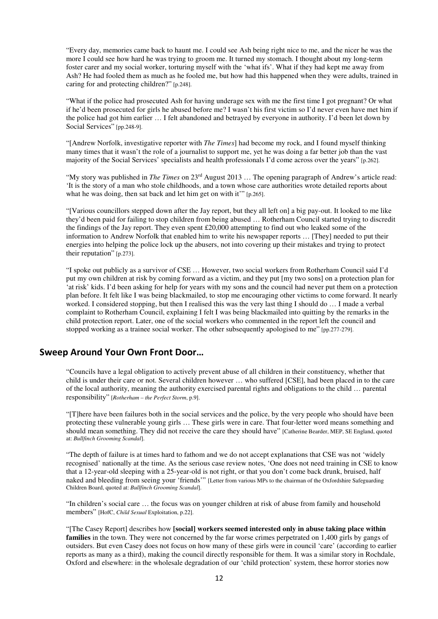"Every day, memories came back to haunt me. I could see Ash being right nice to me, and the nicer he was the more I could see how hard he was trying to groom me. It turned my stomach. I thought about my long-term foster carer and my social worker, torturing myself with the 'what ifs'. What if they had kept me away from Ash? He had fooled them as much as he fooled me, but how had this happened when they were adults, trained in caring for and protecting children?" [p.248].

"What if the police had prosecuted Ash for having underage sex with me the first time I got pregnant? Or what if he'd been prosecuted for girls he abused before me? I wasn't his first victim so I'd never even have met him if the police had got him earlier … I felt abandoned and betrayed by everyone in authority. I'd been let down by Social Services" [pp.248-9].

"[Andrew Norfolk, investigative reporter with *The Times*] had become my rock, and I found myself thinking many times that it wasn't the role of a journalist to support me, yet he was doing a far better job than the vast majority of the Social Services' specialists and health professionals I'd come across over the years" [p.262].

"My story was published in *The Times* on 23rd August 2013 … The opening paragraph of Andrew's article read: 'It is the story of a man who stole childhoods, and a town whose care authorities wrote detailed reports about what he was doing, then sat back and let him get on with it'' [p.265].

"[Various councillors stepped down after the Jay report, but they all left on] a big pay-out. It looked to me like they'd been paid for failing to stop children from being abused … Rotherham Council started trying to discredit the findings of the Jay report. They even spent £20,000 attempting to find out who leaked some of the information to Andrew Norfolk that enabled him to write his newspaper reports … [They] needed to put their energies into helping the police lock up the abusers, not into covering up their mistakes and trying to protect their reputation" [p.273].

"I spoke out publicly as a survivor of CSE … However, two social workers from Rotherham Council said I'd put my own children at risk by coming forward as a victim, and they put [my two sons] on a protection plan for 'at risk' kids. I'd been asking for help for years with my sons and the council had never put them on a protection plan before. It felt like I was being blackmailed, to stop me encouraging other victims to come forward. It nearly worked. I considered stopping, but then I realised this was the very last thing I should do … I made a verbal complaint to Rotherham Council, explaining I felt I was being blackmailed into quitting by the remarks in the child protection report. Later, one of the social workers who commented in the report left the council and stopped working as a trainee social worker. The other subsequently apologised to me" [pp.277-279].

## **Sweep Around Your Own Front Door…**

"Councils have a legal obligation to actively prevent abuse of all children in their constituency, whether that child is under their care or not. Several children however … who suffered [CSE], had been placed in to the care of the local authority, meaning the authority exercised parental rights and obligations to the child … parental responsibility" [*Rotherham – the Perfect Storm*, p.9].

"[T]here have been failures both in the social services and the police, by the very people who should have been protecting these vulnerable young girls … These girls were in care. That four-letter word means something and should mean something. They did not receive the care they should have" [Catherine Bearder, MEP, SE England, quoted at: *Bullfinch Grooming Scandal*].

"The depth of failure is at times hard to fathom and we do not accept explanations that CSE was not 'widely recognised' nationally at the time. As the serious case review notes, 'One does not need training in CSE to know that a 12-year-old sleeping with a 25-year-old is not right, or that you don't come back drunk, bruised, half naked and bleeding from seeing your 'friends'" [Letter from various MPs to the chairman of the Oxfordshire Safeguarding Children Board, quoted at: *Bullfinch Grooming Scandal*].

"In children's social care … the focus was on younger children at risk of abuse from family and household members" [HofC, *Child Sexual Exploitation, p.22]*.

"[The Casey Report] describes how **[social] workers seemed interested only in abuse taking place within families** in the town. They were not concerned by the far worse crimes perpetrated on 1,400 girls by gangs of outsiders. But even Casey does not focus on how many of these girls were in council 'care' (according to earlier reports as many as a third), making the council directly responsible for them. It was a similar story in Rochdale, Oxford and elsewhere: in the wholesale degradation of our 'child protection' system, these horror stories now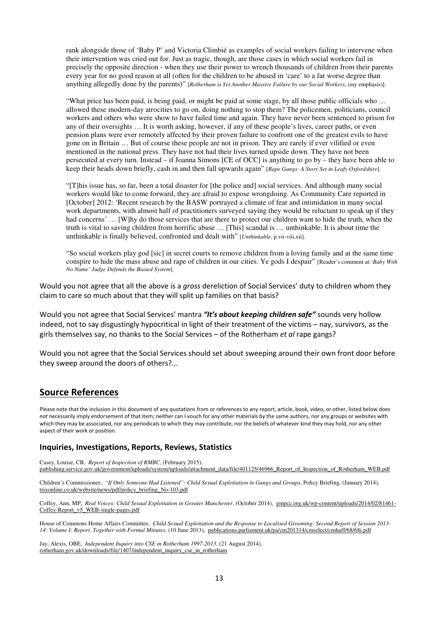rank alongside those of 'Baby P' and Victoria Climbié as examples of social workers failing to intervene when their intervention was cried out for. Just as tragic, though, are those cases in which social workers fail in precisely the opposite direction - when they use their power to wrench thousands of children from their parents every year for no good reason at all (often for the children to be abused in 'care' to a far worse degree than anything allegedly done by the parents)" [*Rotherham is Yet Another Massive Failure by our Social Workers*, (my emphasis)].

"What price has been paid, is being paid, or might be paid at some stage, by all those public officials who … allowed these modern-day atrocities to go on, doing nothing to stop them? The policemen, politicians, council workers and others who were show to have failed time and again. They have never been sentenced to prison for any of their oversights … It is worth asking, however, if any of these people's lives, career paths, or even pension plans were ever remotely affected by their proven failure to confront one of the greatest evils to have gone on in Britain … But of course these people are not in prison. They are rarely if ever vilified or even mentioned in the national press. They have not had their lives turned upside down. They have not been persecuted at every turn. Instead – if Joanna Simons [CE of OCC] is anything to go by – they have been able to keep their heads down briefly, cash in and then fall upwards again" [*Rape Gangs: A Story Set in Leafy Oxfordshire*].

"[T]his issue has, so far, been a total disaster for [the police and] social services. And although many social workers would like to come forward, they are afraid to expose wrongdoing. As Community Care reported in [October] 2012: 'Recent research by the BASW portrayed a climate of fear and intimidation in many social work departments, with almost half of practitioners surveyed saying they would be reluctant to speak up if they had concerns' ... [W]hy do those services that are there to protect our children want to hide the truth, when the truth is vital to saving children from horrific abuse … [This] scandal is … unthinkable. It is about time the unthinkable is finally believed, confronted and dealt with" [*Unthinkable*, p.vii-viii,xii].

"So social workers play god [sic] in secret courts to remove children from a loving family and at the same time conspire to hide the mass abuse and rape of children in our cities. Ye gods I despair" [Reader's comment at:*'Baby With No Name' Judge Defends the Biased System*].

Would you not agree that all the above is a *gross* dereliction of Social Services' duty to children whom they claim to care so much about that they will split up families on that basis?

Would you not agree that Social Services' mantra *"It's about keeping children safe"* sounds very hollow indeed, not to say disgustingly hypocritical in light of their treatment of the victims – nay, survivors, as the girls themselves say, no thanks to the Social Services – of the Rotherham *et al* rape gangs?

Would you not agree that the Social Services should set about sweeping around their own front door before they sweep around the doors of others?...

# **Source References**

Please note that the inclusion in this document of any quotations from or references to any report, article, book, video, or other, listed below does *not* necessarily imply endorsement of that item; neither can I vouch for any other materials by the same authors, nor any groups or websites with which they may be associated, nor any periodicals to which they may contribute, nor the beliefs of whatever kind they may hold, nor any other aspect of their work or position.

### **Inquiries, Investigations, Reports, Reviews, Statistics**

Casey, Louise, CB, *Report of Inspection of RMBC*, (February 2015), publishing.service.gov.uk/government/uploads/system/uploads/attachment\_data/file/401125/46966\_Report\_of\_Inspection\_of\_Rotherham\_WEB.pdf

Children's Commissioner, *"If Only Someone Had Listened": Child Sexual Exploitation in Gangs and Groups*, Policy Briefing, (January 2014), trixonline.co.uk/website/news/pdf/policy\_briefing\_No-103.pdf

Coffey, Ann, MP, *Real Voices: Child Sexual Exploitation in Greater Manchester*, (October 2014), gmpcc.org.uk/wp-content/uploads/2014/02/81461- Coffey-Report\_v5\_WEB-single-pages.pdf

House of Commons Home Affairs Committee, *Child Sexual Exploitation and the Response to Localised Grooming: Second Report of Session 2013- 14: Volume I: Report, Together with Formal Minutes*, (10 June 2013), publications.parliament.uk/pa/cm201314/cmselect/cmhaff/68/68i.pdf

Jay, Alexis, OBE, *Independent Inquiry into CSE in Rotherham 1997-2013*, (21 August 2014), rotherham.gov.uk/downloads/file/1407/independent\_inquiry\_cse\_in\_rotherham